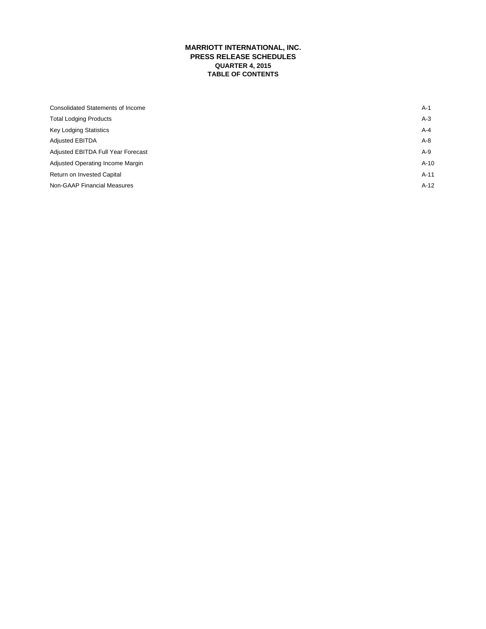# **MARRIOTT INTERNATIONAL, INC. PRESS RELEASE SCHEDULES QUARTER 4, 2015 TABLE OF CONTENTS**

| Consolidated Statements of Income  | $A-1$  |
|------------------------------------|--------|
| <b>Total Lodging Products</b>      | $A-3$  |
| <b>Key Lodging Statistics</b>      | A-4    |
| <b>Adjusted EBITDA</b>             | $A-8$  |
| Adjusted EBITDA Full Year Forecast | A-9    |
| Adjusted Operating Income Margin   | $A-10$ |
| Return on Invested Capital         | $A-11$ |
| Non-GAAP Financial Measures        | $A-12$ |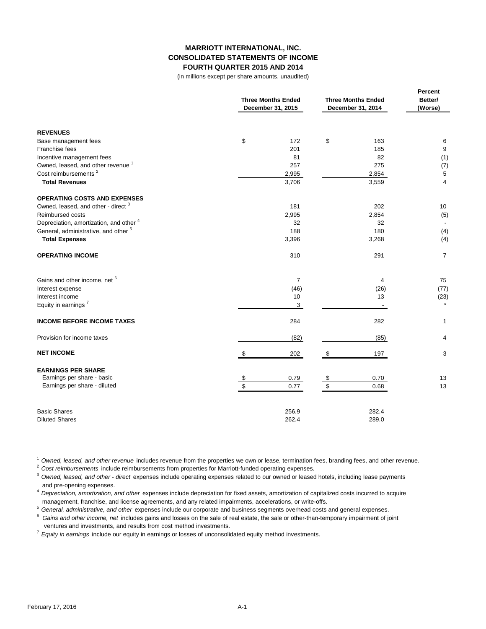## **MARRIOTT INTERNATIONAL, INC. CONSOLIDATED STATEMENTS OF INCOME FOURTH QUARTER 2015 AND 2014**

(in millions except per share amounts, unaudited)

|                                                         | <b>Three Months Ended</b><br>December 31, 2015 | <b>Three Months Ended</b><br>December 31, 2014 | Percent<br>Better/<br>(Worse) |  |
|---------------------------------------------------------|------------------------------------------------|------------------------------------------------|-------------------------------|--|
| <b>REVENUES</b>                                         |                                                |                                                |                               |  |
| Base management fees                                    | \$<br>172                                      | \$<br>163                                      | 6                             |  |
| Franchise fees                                          | 201                                            | 185                                            | 9                             |  |
| Incentive management fees                               | 81                                             | 82                                             | (1)                           |  |
| Owned, leased, and other revenue <sup>1</sup>           | 257                                            | 275                                            | (7)                           |  |
| Cost reimbursements <sup>2</sup>                        | 2,995                                          | 2,854                                          | 5                             |  |
| <b>Total Revenues</b>                                   | 3,706                                          | 3,559                                          | 4                             |  |
| <b>OPERATING COSTS AND EXPENSES</b>                     |                                                |                                                |                               |  |
| Owned, leased, and other - direct <sup>3</sup>          | 181                                            | 202                                            | 10                            |  |
| Reimbursed costs                                        | 2,995                                          | 2,854                                          | (5)                           |  |
| Depreciation, amortization, and other 4                 | 32                                             | 32                                             |                               |  |
| General, administrative, and other <sup>5</sup>         | 188                                            | 180                                            | (4)                           |  |
| <b>Total Expenses</b>                                   | 3,396                                          | 3,268                                          | (4)                           |  |
| <b>OPERATING INCOME</b>                                 | 310                                            | 291                                            | 7                             |  |
| Gains and other income, net 6                           | $\overline{7}$                                 | $\overline{4}$                                 | 75                            |  |
| Interest expense                                        | (46)                                           | (26)                                           | (77)                          |  |
| Interest income                                         | 10                                             | 13                                             | (23)                          |  |
| Equity in earnings <sup>7</sup>                         | 3                                              |                                                |                               |  |
| <b>INCOME BEFORE INCOME TAXES</b>                       | 284                                            | 282                                            | 1                             |  |
| Provision for income taxes                              | (82)                                           | (85)                                           | 4                             |  |
| <b>NET INCOME</b>                                       | \$<br>202                                      | 197<br>S                                       | 3                             |  |
| <b>EARNINGS PER SHARE</b><br>Earnings per share - basic |                                                | 0.70                                           | 13                            |  |
| Earnings per share - diluted                            | 0.79<br>\$<br>0.77                             | \$<br>\$<br>0.68                               | 13                            |  |
|                                                         |                                                |                                                |                               |  |
| <b>Basic Shares</b>                                     | 256.9                                          | 282.4                                          |                               |  |
| <b>Diluted Shares</b>                                   | 262.4                                          | 289.0                                          |                               |  |

<sup>1</sup>*Owned, leased, and other revenue* includes revenue from the properties we own or lease, termination fees, branding fees, and other revenue.

<sup>2</sup>*Cost reimbursements* include reimbursements from properties for Marriott-funded operating expenses.

<sup>3</sup>*Owned, leased, and other - direct* expenses include operating expenses related to our owned or leased hotels, including lease payments and pre-opening expenses.

<sup>4</sup>*Depreciation, amortization, and other* expenses include depreciation for fixed assets, amortization of capitalized costs incurred to acquire management, franchise, and license agreements, and any related impairments, accelerations, or write-offs.

<sup>5</sup>*General, administrative, and other* expenses include our corporate and business segments overhead costs and general expenses.

6 *Gains and other income, net* includes gains and losses on the sale of real estate, the sale or other-than-temporary impairment of joint ventures and investments, and results from cost method investments.

<sup>7</sup>*Equity in earnings* include our equity in earnings or losses of unconsolidated equity method investments.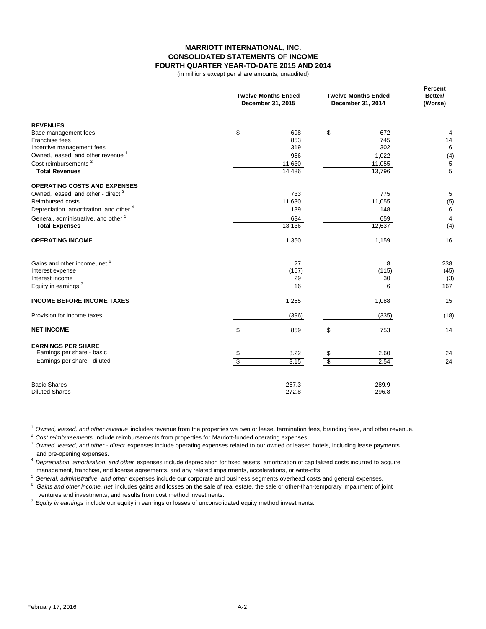### **MARRIOTT INTERNATIONAL, INC. CONSOLIDATED STATEMENTS OF INCOME FOURTH QUARTER YEAR-TO-DATE 2015 AND 2014**

(in millions except per share amounts, unaudited)

|                                                 | <b>Twelve Months Ended</b><br>December 31, 2015 | <b>Twelve Months Ended</b><br>December 31, 2014 | Percent<br>Better/<br>(Worse) |  |
|-------------------------------------------------|-------------------------------------------------|-------------------------------------------------|-------------------------------|--|
| <b>REVENUES</b>                                 |                                                 |                                                 |                               |  |
| Base management fees                            | \$<br>698                                       | \$<br>672                                       | 4                             |  |
| Franchise fees                                  | 853                                             | 745                                             | 14                            |  |
| Incentive management fees                       | 319                                             | 302                                             | 6                             |  |
| Owned, leased, and other revenue <sup>1</sup>   | 986                                             | 1,022                                           | (4)                           |  |
| Cost reimbursements <sup>2</sup>                | 11,630                                          | 11,055                                          | 5                             |  |
| <b>Total Revenues</b>                           | 14,486                                          | 13,796                                          | 5                             |  |
| <b>OPERATING COSTS AND EXPENSES</b>             |                                                 |                                                 |                               |  |
| Owned, leased, and other - direct <sup>3</sup>  | 733                                             | 775                                             | 5                             |  |
| Reimbursed costs                                | 11,630                                          | 11,055                                          | (5)                           |  |
| Depreciation, amortization, and other 4         | 139                                             | 148                                             | 6                             |  |
| General, administrative, and other <sup>5</sup> | 634                                             | 659                                             | 4                             |  |
| <b>Total Expenses</b>                           | 13,136                                          | 12,637                                          | (4)                           |  |
| <b>OPERATING INCOME</b>                         | 1,350                                           | 1,159                                           | 16                            |  |
| Gains and other income, net <sup>6</sup>        | 27                                              | 8                                               | 238                           |  |
| Interest expense                                | (167)                                           | (115)                                           | (45)                          |  |
| Interest income                                 | 29                                              | 30                                              | (3)                           |  |
| Equity in earnings <sup>7</sup>                 | 16                                              | 6                                               | 167                           |  |
| <b>INCOME BEFORE INCOME TAXES</b>               | 1,255                                           | 1,088                                           | 15                            |  |
| Provision for income taxes                      | (396)                                           | (335)                                           | (18)                          |  |
| <b>NET INCOME</b>                               | 859<br>-S                                       | 753<br>S                                        | 14                            |  |
| <b>EARNINGS PER SHARE</b>                       |                                                 |                                                 |                               |  |
| Earnings per share - basic                      | 3.22                                            | 2.60                                            | 24                            |  |
| Earnings per share - diluted                    | 3.15                                            | Ŝ<br>2.54                                       | 24                            |  |
| <b>Basic Shares</b>                             | 267.3                                           | 289.9                                           |                               |  |
| <b>Diluted Shares</b>                           | 272.8                                           | 296.8                                           |                               |  |

<sup>1</sup>*Owned, leased, and other revenue* includes revenue from the properties we own or lease, termination fees, branding fees, and other revenue.

<sup>2</sup>*Cost reimbursements* include reimbursements from properties for Marriott-funded operating expenses.

<sup>3</sup>*Owned, leased, and other - direct* expenses include operating expenses related to our owned or leased hotels, including lease payments and pre-opening expenses.

<sup>4</sup>*Depreciation, amortization, and other* expenses include depreciation for fixed assets, amortization of capitalized costs incurred to acquire management, franchise, and license agreements, and any related impairments, accelerations, or write-offs.

<sup>5</sup>*General, administrative, and other* expenses include our corporate and business segments overhead costs and general expenses.

6 *Gains and other income, net* includes gains and losses on the sale of real estate, the sale or other-than-temporary impairment of joint ventures and investments, and results from cost method investments.

<sup>7</sup>*Equity in earnings* include our equity in earnings or losses of unconsolidated equity method investments.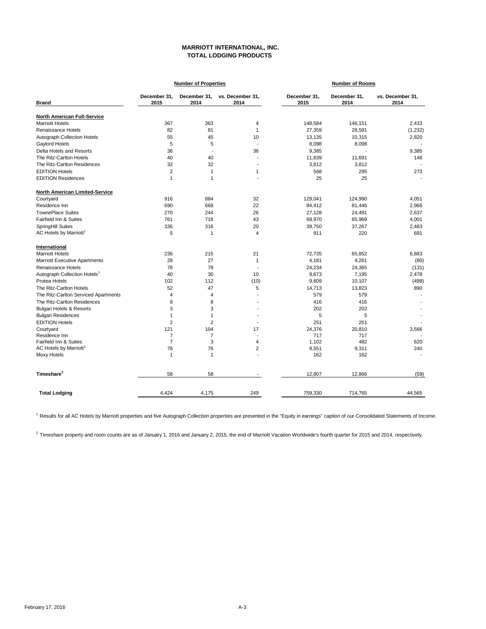### **MARRIOTT INTERNATIONAL, INC. TOTAL LODGING PRODUCTS**

| December 31.<br>2014<br>363<br>81<br>45<br>5<br>$\overline{\phantom{a}}$<br>40<br>32<br>$\mathbf{1}$<br>$\mathbf{1}$<br>884 | vs. December 31.<br>2014<br>$\overline{4}$<br>$\mathbf{1}$<br>10<br>$\overline{\phantom{a}}$<br>36<br>$\overline{\phantom{a}}$<br>$\overline{a}$<br>1<br>$\overline{a}$ | December 31.<br>2015<br>148,584<br>27,359<br>13,135<br>8,098<br>9,385<br>11,839<br>3,812<br>568<br>25 | December 31,<br>2014<br>146,151<br>28,591<br>10,315<br>8,098<br>Ĭ.<br>11,691<br>3,812<br>295<br>25 | vs. December 31,<br>2014<br>2,433<br>(1,232)<br>2,820<br>9,385<br>148<br>273 |
|-----------------------------------------------------------------------------------------------------------------------------|-------------------------------------------------------------------------------------------------------------------------------------------------------------------------|-------------------------------------------------------------------------------------------------------|----------------------------------------------------------------------------------------------------|------------------------------------------------------------------------------|
|                                                                                                                             |                                                                                                                                                                         |                                                                                                       |                                                                                                    |                                                                              |
|                                                                                                                             |                                                                                                                                                                         |                                                                                                       |                                                                                                    |                                                                              |
|                                                                                                                             |                                                                                                                                                                         |                                                                                                       |                                                                                                    |                                                                              |
|                                                                                                                             |                                                                                                                                                                         |                                                                                                       |                                                                                                    |                                                                              |
|                                                                                                                             |                                                                                                                                                                         |                                                                                                       |                                                                                                    |                                                                              |
|                                                                                                                             |                                                                                                                                                                         |                                                                                                       |                                                                                                    |                                                                              |
|                                                                                                                             |                                                                                                                                                                         |                                                                                                       |                                                                                                    |                                                                              |
|                                                                                                                             |                                                                                                                                                                         |                                                                                                       |                                                                                                    |                                                                              |
|                                                                                                                             |                                                                                                                                                                         |                                                                                                       |                                                                                                    |                                                                              |
|                                                                                                                             |                                                                                                                                                                         |                                                                                                       |                                                                                                    |                                                                              |
|                                                                                                                             |                                                                                                                                                                         |                                                                                                       |                                                                                                    |                                                                              |
|                                                                                                                             |                                                                                                                                                                         |                                                                                                       |                                                                                                    |                                                                              |
|                                                                                                                             | 32                                                                                                                                                                      | 129,041                                                                                               | 124,990                                                                                            | 4,051                                                                        |
| 668                                                                                                                         | 22                                                                                                                                                                      | 84,412                                                                                                | 81,446                                                                                             | 2,966                                                                        |
| 244                                                                                                                         | 26                                                                                                                                                                      | 27,128                                                                                                | 24,491                                                                                             | 2,637                                                                        |
| 718                                                                                                                         | 43                                                                                                                                                                      | 69,970                                                                                                | 65,969                                                                                             | 4,001                                                                        |
| 316                                                                                                                         | 20                                                                                                                                                                      | 39,750                                                                                                | 37,267                                                                                             | 2.483                                                                        |
| $\mathbf{1}$                                                                                                                | $\overline{4}$                                                                                                                                                          | 911                                                                                                   | 220                                                                                                | 691                                                                          |
|                                                                                                                             |                                                                                                                                                                         |                                                                                                       |                                                                                                    |                                                                              |
| 215                                                                                                                         | 21                                                                                                                                                                      | 72.735                                                                                                | 65,852                                                                                             | 6,883                                                                        |
| 27                                                                                                                          | $\mathbf{1}$                                                                                                                                                            | 4,181                                                                                                 | 4,261                                                                                              | (80)                                                                         |
| 78                                                                                                                          | $\overline{a}$                                                                                                                                                          | 24,234                                                                                                | 24,365                                                                                             | (131)                                                                        |
| 30                                                                                                                          | 10                                                                                                                                                                      | 9,673                                                                                                 | 7,195                                                                                              | 2,478                                                                        |
| 112                                                                                                                         | (10)                                                                                                                                                                    | 9,609                                                                                                 | 10,107                                                                                             | (498)                                                                        |
| 47                                                                                                                          | 5                                                                                                                                                                       | 14.713                                                                                                | 13,823                                                                                             | 890                                                                          |
| $\overline{4}$                                                                                                              | $\overline{a}$                                                                                                                                                          | 579                                                                                                   | 579                                                                                                |                                                                              |
| 8                                                                                                                           |                                                                                                                                                                         | 416                                                                                                   | 416                                                                                                |                                                                              |
| 3                                                                                                                           |                                                                                                                                                                         | 202                                                                                                   | 202                                                                                                |                                                                              |
| $\mathbf{1}$                                                                                                                |                                                                                                                                                                         | 5                                                                                                     | 5                                                                                                  |                                                                              |
| $\overline{2}$                                                                                                              |                                                                                                                                                                         | 251                                                                                                   | 251                                                                                                |                                                                              |
| 104                                                                                                                         | 17                                                                                                                                                                      | 24.376                                                                                                | 20.810                                                                                             | 3,566                                                                        |
| $\overline{7}$                                                                                                              | $\overline{a}$                                                                                                                                                          | 717                                                                                                   | 717                                                                                                |                                                                              |
|                                                                                                                             | $\overline{4}$                                                                                                                                                          | 1,102                                                                                                 |                                                                                                    | 620                                                                          |
|                                                                                                                             |                                                                                                                                                                         |                                                                                                       |                                                                                                    | 240                                                                          |
| $\mathbf{1}$                                                                                                                |                                                                                                                                                                         | 162                                                                                                   | 162                                                                                                |                                                                              |
| 58                                                                                                                          |                                                                                                                                                                         | 12,807                                                                                                | 12,866                                                                                             | (59)                                                                         |
| 4,175                                                                                                                       | 249                                                                                                                                                                     | 759,330                                                                                               | 714,765                                                                                            | 44,565                                                                       |
|                                                                                                                             | 3<br>76                                                                                                                                                                 | $\overline{2}$                                                                                        | 9,551                                                                                              | 482<br>9,311                                                                 |

<sup>1</sup> Results for all AC Hotels by Marriott properties and five Autograph Collection properties are presented in the "Equity in earnings" caption of our Consolidated Statements of Income.

 $^{2}$  Timeshare property and room counts are as of January 1, 2016 and January 2, 2015, the end of Marriott Vacation Worldwide's fourth quarter for 2015 and 2014, respectively.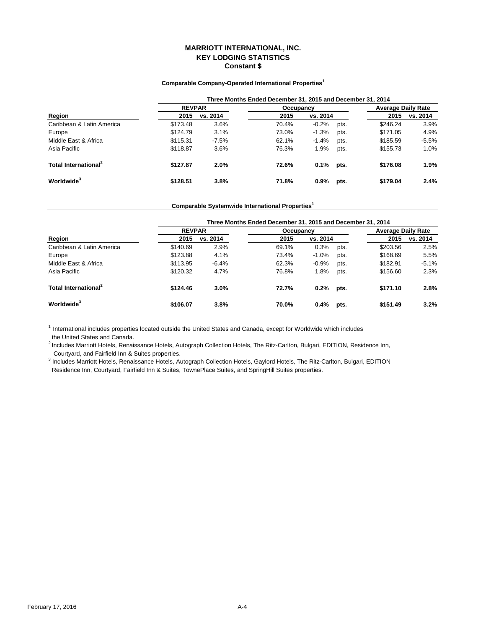## **MARRIOTT INTERNATIONAL, INC. KEY LODGING STATISTICS Constant \$**

### **Comparable Company-Operated International Properties<sup>1</sup>**

|                                  | Three Months Ended December 31, 2015 and December 31, 2014 |          |           |          |      |                           |          |
|----------------------------------|------------------------------------------------------------|----------|-----------|----------|------|---------------------------|----------|
|                                  | <b>REVPAR</b>                                              |          | Occupancy |          |      | <b>Average Daily Rate</b> |          |
| Region                           | 2015                                                       | vs. 2014 | 2015      | vs. 2014 |      | 2015                      | vs. 2014 |
| Caribbean & Latin America        | \$173.48                                                   | 3.6%     | 70.4%     | $-0.2%$  | pts. | \$246.24                  | 3.9%     |
| Europe                           | \$124.79                                                   | 3.1%     | 73.0%     | $-1.3%$  | pts. | \$171.05                  | 4.9%     |
| Middle East & Africa             | \$115.31                                                   | $-7.5%$  | 62.1%     | $-1.4%$  | pts. | \$185.59                  | $-5.5%$  |
| Asia Pacific                     | \$118.87                                                   | 3.6%     | 76.3%     | 1.9%     | pts. | \$155.73                  | 1.0%     |
| Total International <sup>2</sup> | \$127.87                                                   | 2.0%     | 72.6%     | 0.1%     | pts. | \$176.08                  | 1.9%     |
| Worldwide <sup>3</sup>           | \$128.51                                                   | 3.8%     | 71.8%     | 0.9%     | pts. | \$179.04                  | 2.4%     |

### **Comparable Systemwide International Properties<sup>1</sup>**

|                                  |               |          | Three Months Ended December 31, 2015 and December 31, 2014 |          |      |                           |          |  |
|----------------------------------|---------------|----------|------------------------------------------------------------|----------|------|---------------------------|----------|--|
|                                  | <b>REVPAR</b> |          | Occupancy                                                  |          |      | <b>Average Daily Rate</b> |          |  |
| Region                           | 2015          | vs. 2014 | 2015                                                       | vs. 2014 |      | 2015                      | vs. 2014 |  |
| Caribbean & Latin America        | \$140.69      | 2.9%     | 69.1%                                                      | 0.3%     | pts. | \$203.56                  | 2.5%     |  |
| Europe                           | \$123.88      | 4.1%     | 73.4%                                                      | $-1.0%$  | pts. | \$168.69                  | 5.5%     |  |
| Middle East & Africa             | \$113.95      | $-6.4%$  | 62.3%                                                      | $-0.9%$  | pts. | \$182.91                  | $-5.1%$  |  |
| Asia Pacific                     | \$120.32      | 4.7%     | 76.8%                                                      | 1.8%     | pts. | \$156.60                  | 2.3%     |  |
| Total International <sup>2</sup> | \$124.46      | 3.0%     | 72.7%                                                      | 0.2%     | pts. | \$171.10                  | 2.8%     |  |
| Worldwide <sup>3</sup>           | \$106.07      | 3.8%     | 70.0%                                                      | 0.4%     | pts. | \$151.49                  | 3.2%     |  |

 $1$  International includes properties located outside the United States and Canada, except for Worldwide which includes the United States and Canada.

 Courtyard, and Fairfield Inn & Suites properties. <sup>2</sup> Includes Marriott Hotels, Renaissance Hotels, Autograph Collection Hotels, The Ritz-Carlton, Bulgari, EDITION, Residence Inn,

<sup>3</sup> Includes Marriott Hotels, Renaissance Hotels, Autograph Collection Hotels, Gaylord Hotels, The Ritz-Carlton, Bulgari, EDITION Residence Inn, Courtyard, Fairfield Inn & Suites, TownePlace Suites, and SpringHill Suites properties.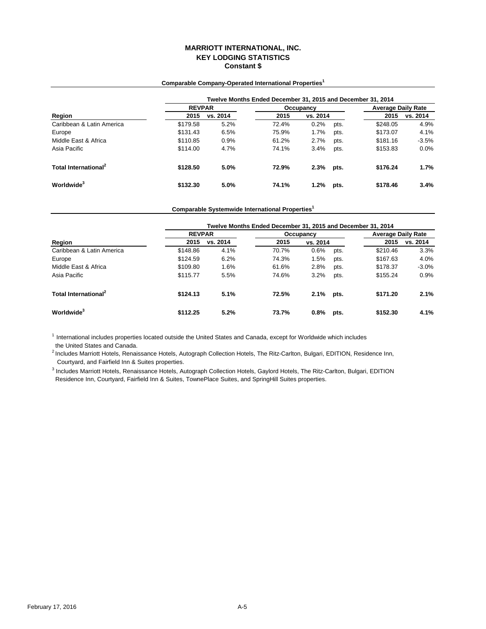## **MARRIOTT INTERNATIONAL, INC. KEY LODGING STATISTICS Constant \$**

# **Twelve Months Ended December 31, 2015 and December 31, 2014 Region 2015 vs. 2014 2015 2015 vs. 2014** Caribbean & Latin America **1988** 5.2% 72.4% 0.2% pts. \$248.05 4.9%<br>Europe \$173.07 4.1% \$173.07 4.1% Europe \$131.43 6.5% 75.9% 1.7% pts. \$173.07 4.1% Middle East & Africa **1.2%** 61.2% 61.2% pts. \$181.16 -3.5% 9181.16 5181.16 1.2% pts. \$181.16 5181.16 1.2% pts. \$181.16 1.2% pts. \$153.83 6.0% Asia Pacific \$114.00 4.7% 74.1% 3.4% pts. \$153.83 0.0% **Total International<sup>2</sup> \$128.50 5.0% 72.9% 2.3% pts. \$176.24 1.7% Worldwide<sup>3</sup> \$132.30 5.0% 74.1% 1.2% pts. \$178.46 3.4% vs. 2014 REVPAR Occupancy Average Daily Rate**<br> **2015** vs. 2014 **Daily Rate**<br> **2015** vs. 2014 **PM** 2015 vs. 2014

#### **Comparable Company-Operated International Properties<sup>1</sup>**

# **Comparable Systemwide International Properties<sup>1</sup>**

|                                  | Twelve Months Ended December 31, 2015 and December 31, 2014 |          |       |           |      |                           |          |  |
|----------------------------------|-------------------------------------------------------------|----------|-------|-----------|------|---------------------------|----------|--|
|                                  | <b>REVPAR</b>                                               |          |       | Occupancy |      | <b>Average Daily Rate</b> |          |  |
| Region                           | 2015                                                        | vs. 2014 | 2015  | vs. 2014  |      | 2015                      | vs. 2014 |  |
| Caribbean & Latin America        | \$148.86                                                    | 4.1%     | 70.7% | 0.6%      | pts. | \$210.46                  | 3.3%     |  |
| Europe                           | \$124.59                                                    | 6.2%     | 74.3% | 1.5%      | pts. | \$167.63                  | 4.0%     |  |
| Middle East & Africa             | \$109.80                                                    | 1.6%     | 61.6% | 2.8%      | pts. | \$178.37                  | $-3.0%$  |  |
| Asia Pacific                     | \$115.77                                                    | 5.5%     | 74.6% | 3.2%      | pts. | \$155.24                  | 0.9%     |  |
| Total International <sup>2</sup> | \$124.13                                                    | 5.1%     | 72.5% | 2.1%      | pts. | \$171.20                  | 2.1%     |  |
| Worldwide <sup>3</sup>           | \$112.25                                                    | 5.2%     | 73.7% | 0.8%      | pts. | \$152.30                  | 4.1%     |  |

 $<sup>1</sup>$  International includes properties located outside the United States and Canada, except for Worldwide which includes</sup> the United States and Canada.

 Courtyard, and Fairfield Inn & Suites properties. <sup>2</sup> Includes Marriott Hotels, Renaissance Hotels, Autograph Collection Hotels, The Ritz-Carlton, Bulgari, EDITION, Residence Inn,

<sup>3</sup> Includes Marriott Hotels, Renaissance Hotels, Autograph Collection Hotels, Gaylord Hotels, The Ritz-Carlton, Bulgari, EDITION Residence Inn, Courtyard, Fairfield Inn & Suites, TownePlace Suites, and SpringHill Suites properties.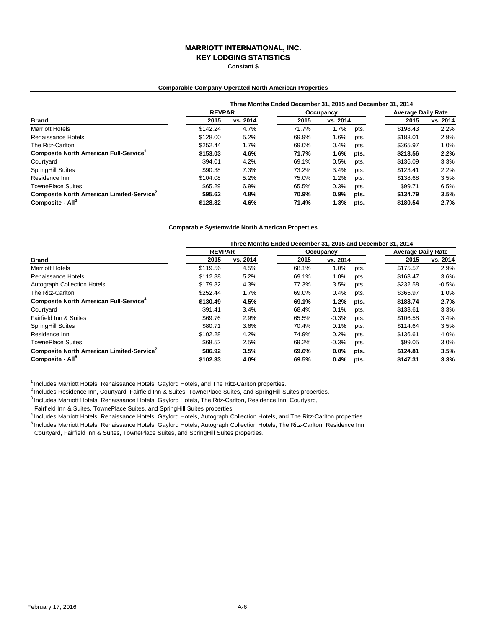# **MARRIOTT INTERNATIONAL, INC.**

**KEY LODGING STATISTICS**

**Constant \$**

#### **Comparable Company-Operated North American Properties**

|                                                       | Three Months Ended December 31, 2015 and December 31, 2014 |          |           |          |      |                           |          |  |  |
|-------------------------------------------------------|------------------------------------------------------------|----------|-----------|----------|------|---------------------------|----------|--|--|
|                                                       | <b>REVPAR</b>                                              |          | Occupancy |          |      | <b>Average Daily Rate</b> |          |  |  |
| <b>Brand</b>                                          | 2015                                                       | vs. 2014 | 2015      | vs. 2014 |      | 2015                      | vs. 2014 |  |  |
| <b>Marriott Hotels</b>                                | \$142.24                                                   | 4.7%     | 71.7%     | 1.7%     | pts. | \$198.43                  | 2.2%     |  |  |
| Renaissance Hotels                                    | \$128.00                                                   | 5.2%     | 69.9%     | 1.6%     | pts. | \$183.01                  | 2.9%     |  |  |
| The Ritz-Carlton                                      | \$252.44                                                   | 1.7%     | 69.0%     | 0.4%     | pts. | \$365.97                  | 1.0%     |  |  |
| Composite North American Full-Service <sup>1</sup>    | \$153.03                                                   | 4.6%     | 71.7%     | 1.6%     | pts. | \$213.56                  | 2.2%     |  |  |
| Courtyard                                             | \$94.01                                                    | 4.2%     | 69.1%     | 0.5%     | pts. | \$136.09                  | 3.3%     |  |  |
| <b>SpringHill Suites</b>                              | \$90.38                                                    | 7.3%     | 73.2%     | 3.4%     | pts. | \$123.41                  | 2.2%     |  |  |
| Residence Inn                                         | \$104.08                                                   | 5.2%     | 75.0%     | 1.2%     | pts. | \$138.68                  | 3.5%     |  |  |
| <b>TownePlace Suites</b>                              | \$65.29                                                    | 6.9%     | 65.5%     | 0.3%     | pts. | \$99.71                   | 6.5%     |  |  |
| Composite North American Limited-Service <sup>2</sup> | \$95.62                                                    | 4.8%     | 70.9%     | $0.9\%$  | pts. | \$134.79                  | 3.5%     |  |  |
| Composite - All <sup>3</sup>                          | \$128.82                                                   | 4.6%     | 71.4%     | 1.3%     | pts. | \$180.54                  | 2.7%     |  |  |

#### **Comparable Systemwide North American Properties**

|                                                          | Three Months Ended December 31, 2015 and December 31, 2014 |          |           |          |      |                           |          |  |  |
|----------------------------------------------------------|------------------------------------------------------------|----------|-----------|----------|------|---------------------------|----------|--|--|
|                                                          | <b>REVPAR</b>                                              |          | Occupancy |          |      | <b>Average Daily Rate</b> |          |  |  |
| <b>Brand</b>                                             | 2015                                                       | vs. 2014 | 2015      | vs. 2014 |      | 2015                      | vs. 2014 |  |  |
| <b>Marriott Hotels</b>                                   | \$119.56                                                   | 4.5%     | 68.1%     | 1.0%     | pts. | \$175.57                  | 2.9%     |  |  |
| Renaissance Hotels                                       | \$112.88                                                   | 5.2%     | 69.1%     | 1.0%     | pts. | \$163.47                  | 3.6%     |  |  |
| Autograph Collection Hotels                              | \$179.82                                                   | 4.3%     | 77.3%     | 3.5%     | pts. | \$232.58                  | $-0.5%$  |  |  |
| The Ritz-Carlton                                         | \$252.44                                                   | 1.7%     | 69.0%     | 0.4%     | pts. | \$365.97                  | 1.0%     |  |  |
| <b>Composite North American Full-Service<sup>4</sup></b> | \$130.49                                                   | 4.5%     | 69.1%     | 1.2%     | pts. | \$188.74                  | 2.7%     |  |  |
| Courtyard                                                | \$91.41                                                    | 3.4%     | 68.4%     | 0.1%     | pts. | \$133.61                  | 3.3%     |  |  |
| Fairfield Inn & Suites                                   | \$69.76                                                    | 2.9%     | 65.5%     | $-0.3%$  | pts. | \$106.58                  | 3.4%     |  |  |
| SpringHill Suites                                        | \$80.71                                                    | 3.6%     | 70.4%     | 0.1%     | pts. | \$114.64                  | 3.5%     |  |  |
| Residence Inn                                            | \$102.28                                                   | 4.2%     | 74.9%     | 0.2%     | pts. | \$136.61                  | 4.0%     |  |  |
| <b>TownePlace Suites</b>                                 | \$68.52                                                    | 2.5%     | 69.2%     | $-0.3%$  | pts. | \$99.05                   | 3.0%     |  |  |
| Composite North American Limited-Service <sup>2</sup>    | \$86.92                                                    | 3.5%     | 69.6%     | $0.0\%$  | pts. | \$124.81                  | 3.5%     |  |  |
| Composite - All <sup>5</sup>                             | \$102.33                                                   | 4.0%     | 69.5%     | 0.4%     | pts. | \$147.31                  | 3.3%     |  |  |

<sup>1</sup> Includes Marriott Hotels, Renaissance Hotels, Gaylord Hotels, and The Ritz-Carlton properties.

<sup>2</sup> Includes Residence Inn, Courtyard, Fairfield Inn & Suites, TownePlace Suites, and SpringHill Suites properties.

3 Includes Marriott Hotels, Renaissance Hotels, Gaylord Hotels, The Ritz-Carlton, Residence Inn, Courtyard,

Fairfield Inn & Suites, TownePlace Suites, and SpringHill Suites properties.

4 Includes Marriott Hotels, Renaissance Hotels, Gaylord Hotels, Autograph Collection Hotels, and The Ritz-Carlton properties.

5 Includes Marriott Hotels, Renaissance Hotels, Gaylord Hotels, Autograph Collection Hotels, The Ritz-Carlton, Residence Inn,

Courtyard, Fairfield Inn & Suites, TownePlace Suites, and SpringHill Suites properties.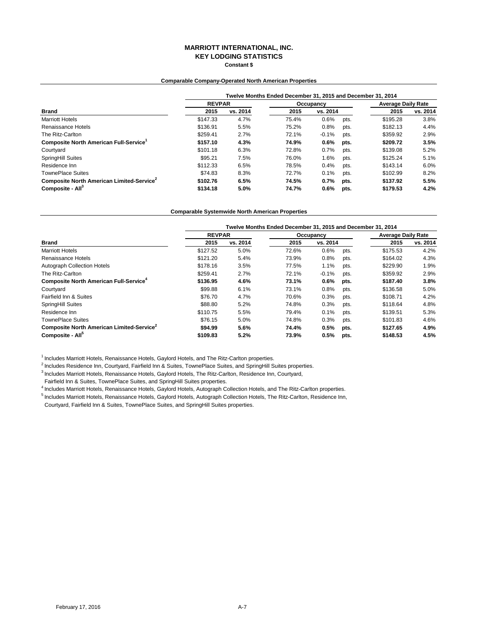### **MARRIOTT INTERNATIONAL, INC. KEY LODGING STATISTICS Constant \$**

### **Comparable Company-Operated North American Properties**

|                                                       | Twelve Months Ended December 31, 2015 and December 31, 2014 |          |           |          |      |                           |          |  |  |
|-------------------------------------------------------|-------------------------------------------------------------|----------|-----------|----------|------|---------------------------|----------|--|--|
|                                                       | <b>REVPAR</b>                                               |          | Occupancy |          |      | <b>Average Daily Rate</b> |          |  |  |
| <b>Brand</b>                                          | 2015                                                        | vs. 2014 | 2015      | vs. 2014 |      | 2015                      | vs. 2014 |  |  |
| <b>Marriott Hotels</b>                                | \$147.33                                                    | 4.7%     | 75.4%     | 0.6%     | pts. | \$195.28                  | 3.8%     |  |  |
| Renaissance Hotels                                    | \$136.91                                                    | 5.5%     | 75.2%     | 0.8%     | pts. | \$182.13                  | 4.4%     |  |  |
| The Ritz-Carlton                                      | \$259.41                                                    | 2.7%     | 72.1%     | $-0.1%$  | pts. | \$359.92                  | 2.9%     |  |  |
| Composite North American Full-Service <sup>1</sup>    | \$157.10                                                    | 4.3%     | 74.9%     | $0.6\%$  | pts. | \$209.72                  | 3.5%     |  |  |
| Courtyard                                             | \$101.18                                                    | 6.3%     | 72.8%     | 0.7%     | pts. | \$139.08                  | 5.2%     |  |  |
| SpringHill Suites                                     | \$95.21                                                     | 7.5%     | 76.0%     | 1.6%     | pts. | \$125.24                  | 5.1%     |  |  |
| Residence Inn                                         | \$112.33                                                    | 6.5%     | 78.5%     | 0.4%     | pts. | \$143.14                  | 6.0%     |  |  |
| <b>TownePlace Suites</b>                              | \$74.83                                                     | 8.3%     | 72.7%     | 0.1%     | pts. | \$102.99                  | 8.2%     |  |  |
| Composite North American Limited-Service <sup>2</sup> | \$102.76                                                    | 6.5%     | 74.5%     | 0.7%     | pts. | \$137.92                  | 5.5%     |  |  |
| Composite - All <sup>3</sup>                          | \$134.18                                                    | 5.0%     | 74.7%     | 0.6%     | pts. | \$179.53                  | 4.2%     |  |  |

#### **Comparable Systemwide North American Properties**

|                                                          | Twelve Months Ended December 31, 2015 and December 31, 2014 |          |       |           |      |                           |          |  |  |
|----------------------------------------------------------|-------------------------------------------------------------|----------|-------|-----------|------|---------------------------|----------|--|--|
|                                                          | <b>REVPAR</b>                                               |          |       | Occupancy |      | <b>Average Daily Rate</b> |          |  |  |
| <b>Brand</b>                                             | 2015                                                        | vs. 2014 | 2015  | vs. 2014  |      | 2015                      | vs. 2014 |  |  |
| <b>Marriott Hotels</b>                                   | \$127.52                                                    | 5.0%     | 72.6% | 0.6%      | pts. | \$175.53                  | 4.2%     |  |  |
| Renaissance Hotels                                       | \$121.20                                                    | 5.4%     | 73.9% | 0.8%      | pts. | \$164.02                  | 4.3%     |  |  |
| <b>Autograph Collection Hotels</b>                       | \$178.16                                                    | 3.5%     | 77.5% | 1.1%      | pts. | \$229.90                  | 1.9%     |  |  |
| The Ritz-Carlton                                         | \$259.41                                                    | 2.7%     | 72.1% | $-0.1%$   | pts. | \$359.92                  | 2.9%     |  |  |
| <b>Composite North American Full-Service<sup>4</sup></b> | \$136.95                                                    | 4.6%     | 73.1% | $0.6\%$   | pts. | \$187.40                  | 3.8%     |  |  |
| Courtyard                                                | \$99.88                                                     | 6.1%     | 73.1% | 0.8%      | pts. | \$136.58                  | 5.0%     |  |  |
| Fairfield Inn & Suites                                   | \$76.70                                                     | 4.7%     | 70.6% | 0.3%      | pts. | \$108.71                  | 4.2%     |  |  |
| SpringHill Suites                                        | \$88.80                                                     | 5.2%     | 74.8% | 0.3%      | pts. | \$118.64                  | 4.8%     |  |  |
| Residence Inn                                            | \$110.75                                                    | 5.5%     | 79.4% | 0.1%      | pts. | \$139.51                  | 5.3%     |  |  |
| <b>TownePlace Suites</b>                                 | \$76.15                                                     | 5.0%     | 74.8% | 0.3%      | pts. | \$101.83                  | 4.6%     |  |  |
| Composite North American Limited-Service <sup>2</sup>    | \$94.99                                                     | 5.6%     | 74.4% | 0.5%      | pts. | \$127.65                  | 4.9%     |  |  |
| Composite - All <sup>5</sup>                             | \$109.83                                                    | 5.2%     | 73.9% | 0.5%      | pts. | \$148.53                  | 4.5%     |  |  |

<sup>1</sup> Includes Marriott Hotels, Renaissance Hotels, Gaylord Hotels, and The Ritz-Carlton properties.

<sup>2</sup> Includes Residence Inn, Courtyard, Fairfield Inn & Suites, TownePlace Suites, and SpringHill Suites properties.

3 Includes Marriott Hotels, Renaissance Hotels, Gaylord Hotels, The Ritz-Carlton, Residence Inn, Courtyard,

Fairfield Inn & Suites, TownePlace Suites, and SpringHill Suites properties.

4 Includes Marriott Hotels, Renaissance Hotels, Gaylord Hotels, Autograph Collection Hotels, and The Ritz-Carlton properties.

5 Includes Marriott Hotels, Renaissance Hotels, Gaylord Hotels, Autograph Collection Hotels, The Ritz-Carlton, Residence Inn,

Courtyard, Fairfield Inn & Suites, TownePlace Suites, and SpringHill Suites properties.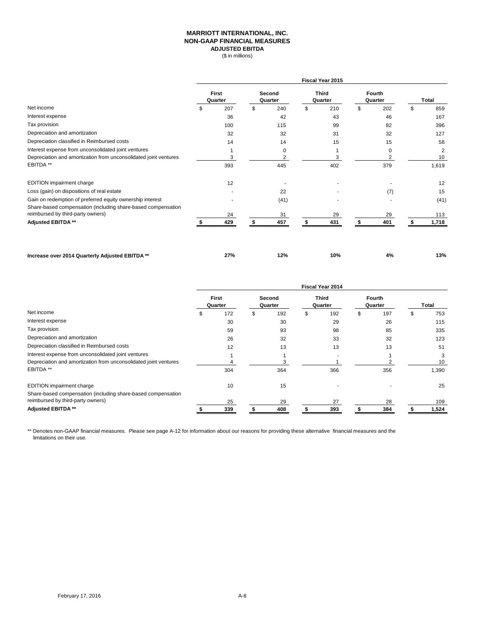## **MARRIOTT INTERNATIONAL, INC. NON-GAAP FINANCIAL MEASURES ADJUSTED EBITDA**

(\$ in millions)

|                                                                                                                           | Fiscal Year 2015        |     |                   |                               |                         |     |                   |             |    |                      |
|---------------------------------------------------------------------------------------------------------------------------|-------------------------|-----|-------------------|-------------------------------|-------------------------|-----|-------------------|-------------|----|----------------------|
|                                                                                                                           | <b>First</b><br>Quarter |     | Second<br>Quarter |                               | <b>Third</b><br>Quarter |     | Fourth<br>Quarter |             |    | Total                |
| Net income                                                                                                                | \$                      | 207 | \$                | 240                           | \$                      | 210 | \$                | 202         | \$ | 859                  |
| Interest expense                                                                                                          |                         | 36  |                   | 42                            |                         | 43  |                   | 46          |    | 167                  |
| Tax provision                                                                                                             |                         | 100 |                   | 115                           |                         | 99  |                   | 82          |    | 396                  |
| Depreciation and amortization                                                                                             |                         | 32  |                   | 32                            |                         | 31  |                   | 32          |    | 127                  |
| Depreciation classified in Reimbursed costs                                                                               |                         | 14  |                   | 14                            |                         | 15  |                   | 15          |    | 58                   |
| Interest expense from unconsolidated joint ventures<br>Depreciation and amortization from unconsolidated joint ventures   |                         | 3   |                   | $\mathbf 0$<br>$\overline{2}$ |                         |     |                   | $\mathbf 0$ |    | $\overline{2}$<br>10 |
| EBITDA **                                                                                                                 |                         | 393 |                   | 445                           |                         | 402 |                   | 379         |    | 1,619                |
| <b>EDITION</b> impairment charge                                                                                          |                         | 12  |                   |                               |                         |     |                   |             |    | 12                   |
| Loss (gain) on dispositions of real estate                                                                                |                         |     |                   | 22                            |                         |     |                   | (7)         |    | 15                   |
| Gain on redemption of preferred equity ownership interest<br>Share-based compensation (including share-based compensation |                         |     |                   | (41)                          |                         |     |                   |             |    | (41)                 |
| reimbursed by third-party owners)                                                                                         |                         | 24  |                   | 31                            |                         | 29  |                   | 29          |    | 113                  |
| Adjusted EBITDA **                                                                                                        |                         | 429 |                   | 457                           |                         | 431 |                   | 401         | £. | 1,718                |

**Increase over 2014 Quarterly Adjusted EBITDA \*\* 27% 12% 10% 4% 13%**

|                                                                                                   | <b>Fiscal Year 2014</b> |     |                   |     |                         |     |                   |     |     |       |
|---------------------------------------------------------------------------------------------------|-------------------------|-----|-------------------|-----|-------------------------|-----|-------------------|-----|-----|-------|
|                                                                                                   | First<br>Quarter        |     | Second<br>Quarter |     | <b>Third</b><br>Quarter |     | Fourth<br>Quarter |     |     | Total |
| Net income                                                                                        | ж                       | 172 | ה.                | 192 | S                       | 192 | S.                | 197 | \$. | 753   |
| Interest expense                                                                                  |                         | 30  |                   | 30  |                         | 29  |                   | 26  |     | 115   |
| Tax provision                                                                                     |                         | 59  |                   | 93  |                         | 98  |                   | 85  |     | 335   |
| Depreciation and amortization                                                                     |                         | 26  |                   | 32  |                         | 33  |                   | 32  |     | 123   |
| Depreciation classified in Reimbursed costs                                                       |                         | 12  |                   | 13  |                         | 13  |                   | 13  |     | 51    |
| Interest expense from unconsolidated joint ventures                                               |                         |     |                   |     |                         |     |                   |     |     |       |
| Depreciation and amortization from unconsolidated joint ventures                                  |                         |     |                   |     |                         |     |                   |     |     | 10    |
| EBITDA **                                                                                         |                         | 304 |                   | 364 |                         | 366 |                   | 356 |     | 1,390 |
| <b>EDITION</b> impairment charge                                                                  |                         | 10  |                   | 15  |                         |     |                   |     |     | 25    |
| Share-based compensation (including share-based compensation<br>reimbursed by third-party owners) |                         | 25  |                   | 29  |                         | 27  |                   | 28  |     | 109   |
| <b>Adjusted EBITDA**</b>                                                                          |                         | 339 |                   | 408 |                         | 393 |                   | 384 |     | 1,524 |

\*\* Denotes non-GAAP financial measures. Please see page A-12 for information about our reasons for providing these alternative financial measures and the limitations on their use.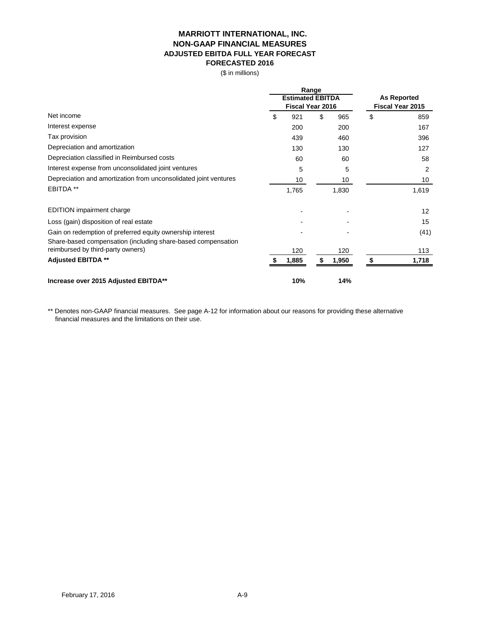# **MARRIOTT INTERNATIONAL, INC. NON-GAAP FINANCIAL MEASURES ADJUSTED EBITDA FULL YEAR FORECAST FORECASTED 2016**

(\$ in millions)

|                                                                  | Range<br><b>Estimated EBITDA</b> |       |    |                                               |    |       |
|------------------------------------------------------------------|----------------------------------|-------|----|-----------------------------------------------|----|-------|
|                                                                  |                                  |       |    | <b>As Reported</b><br><b>Fiscal Year 2015</b> |    |       |
|                                                                  | Fiscal Year 2016                 |       |    |                                               |    |       |
| Net income                                                       | \$                               | 921   | \$ | 965                                           | \$ | 859   |
| Interest expense                                                 |                                  | 200   |    | 200                                           |    | 167   |
| Tax provision                                                    |                                  | 439   |    | 460                                           |    | 396   |
| Depreciation and amortization                                    |                                  | 130   |    | 130                                           |    | 127   |
| Depreciation classified in Reimbursed costs                      |                                  | 60    |    | 60                                            |    | 58    |
| Interest expense from unconsolidated joint ventures              |                                  | 5     |    | 5                                             |    | 2     |
| Depreciation and amortization from unconsolidated joint ventures |                                  | 10    |    | 10                                            |    | 10    |
| <b>EBITDA **</b>                                                 |                                  | 1,765 |    | 1,830                                         |    | 1,619 |
| <b>EDITION</b> impairment charge                                 |                                  |       |    |                                               |    | 12    |
| Loss (gain) disposition of real estate                           |                                  |       |    |                                               |    | 15    |
| Gain on redemption of preferred equity ownership interest        |                                  |       |    |                                               |    | (41)  |
| Share-based compensation (including share-based compensation     |                                  |       |    |                                               |    |       |
| reimbursed by third-party owners)                                |                                  | 120   |    | 120                                           |    | 113   |
| <b>Adjusted EBITDA **</b>                                        |                                  | 1,885 | S  | 1,950                                         |    | 1,718 |
| Increase over 2015 Adjusted EBITDA**                             |                                  | 10%   |    | 14%                                           |    |       |

\*\* Denotes non-GAAP financial measures. See page A-12 for information about our reasons for providing these alternative financial measures and the limitations on their use.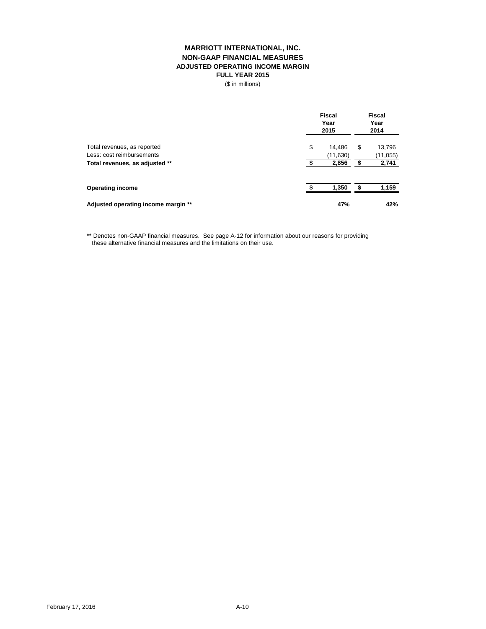# **MARRIOTT INTERNATIONAL, INC. NON-GAAP FINANCIAL MEASURES ADJUSTED OPERATING INCOME MARGIN FULL YEAR 2015**

(\$ in millions)

|                                     | <b>Fiscal</b><br>Year<br>2015 |          |   | <b>Fiscal</b><br>Year<br>2014 |  |  |
|-------------------------------------|-------------------------------|----------|---|-------------------------------|--|--|
| Total revenues, as reported         | \$                            | 14.486   | S | 13,796                        |  |  |
| Less: cost reimbursements           |                               | (11,630) |   | (11, 055)                     |  |  |
| Total revenues, as adjusted **      |                               | 2,856    |   | 2,741                         |  |  |
| <b>Operating income</b>             |                               | 1,350    |   | 1,159                         |  |  |
| Adjusted operating income margin ** |                               | 47%      |   | 42%                           |  |  |

\*\* Denotes non-GAAP financial measures. See page A-12 for information about our reasons for providing these alternative financial measures and the limitations on their use.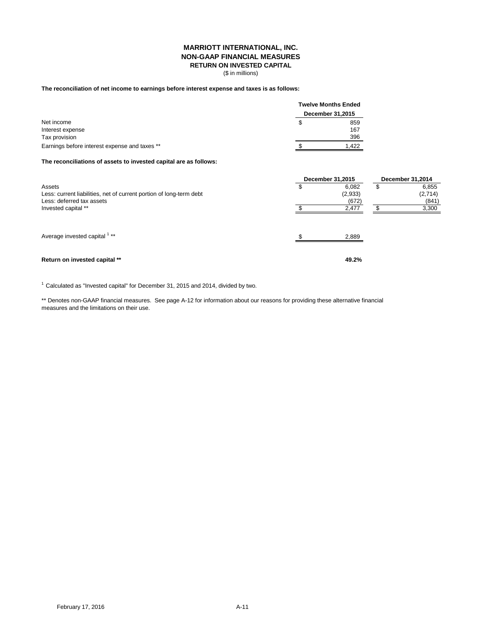## **MARRIOTT INTERNATIONAL, INC. NON-GAAP FINANCIAL MEASURES RETURN ON INVESTED CAPITAL**

(\$ in millions)

### **The reconciliation of net income to earnings before interest expense and taxes is as follows:**

|                                               |                  | Twelve Months Ended |  |  |
|-----------------------------------------------|------------------|---------------------|--|--|
| Net income                                    | December 31,2015 |                     |  |  |
|                                               | S                | 859                 |  |  |
| Interest expense                              |                  | 167                 |  |  |
| Tax provision                                 |                  | 396                 |  |  |
| Earnings before interest expense and taxes ** |                  | 1.422               |  |  |

#### **The reconciliations of assets to invested capital are as follows:**

|                                                                                                            | <b>December 31,2015</b> |                           |  | <b>December 31,2014</b>   |  |  |
|------------------------------------------------------------------------------------------------------------|-------------------------|---------------------------|--|---------------------------|--|--|
| Assets<br>Less: current liabilities, net of current portion of long-term debt<br>Less: deferred tax assets | Φ                       | 6.082<br>(2,933)<br>(672) |  | 6,855<br>(2,714)<br>(841) |  |  |
| Invested capital **                                                                                        |                         | 2,477                     |  | 3,300                     |  |  |
| Average invested capital 1 **                                                                              |                         | 2,889                     |  |                           |  |  |
| Return on invested capital **                                                                              |                         | 49.2%                     |  |                           |  |  |

 $1$  Calculated as "Invested capital" for December 31, 2015 and 2014, divided by two.

\*\* Denotes non-GAAP financial measures. See page A-12 for information about our reasons for providing these alternative financial measures and the limitations on their use.